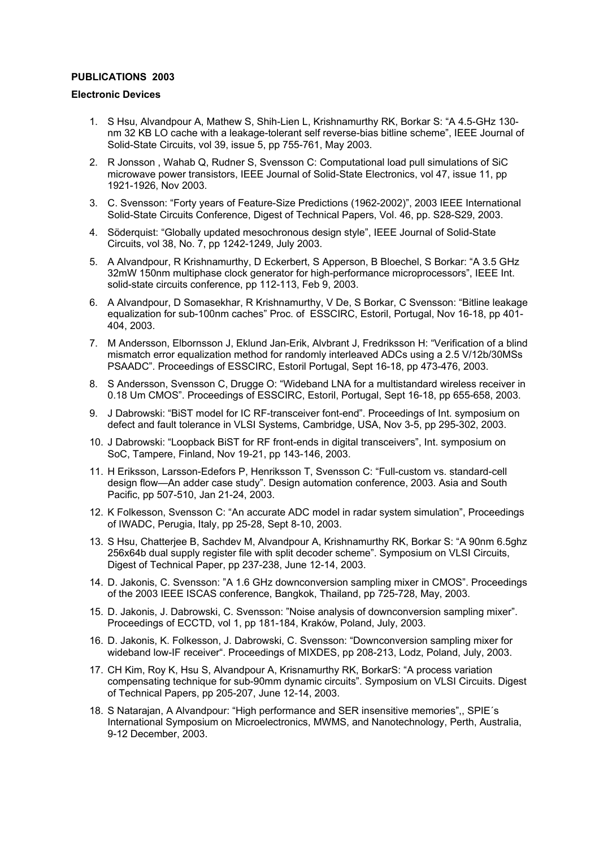## **PUBLICATIONS 2003**

## **Electronic Devices**

- 1. S Hsu, Alvandpour A, Mathew S, Shih-Lien L, Krishnamurthy RK, Borkar S: "A 4.5-GHz 130 nm 32 KB LO cache with a leakage-tolerant self reverse-bias bitline scheme", IEEE Journal of Solid-State Circuits, vol 39, issue 5, pp 755-761, May 2003.
- 2. R Jonsson , Wahab Q, Rudner S, Svensson C: Computational load pull simulations of SiC microwave power transistors, IEEE Journal of Solid-State Electronics, vol 47, issue 11, pp 1921-1926, Nov 2003.
- 3. C. Svensson: "Forty years of Feature-Size Predictions (1962-2002)", 2003 IEEE International Solid-State Circuits Conference, Digest of Technical Papers, Vol. 46, pp. S28-S29, 2003.
- 4. Söderquist: "Globally updated mesochronous design style", IEEE Journal of Solid-State Circuits, vol 38, No. 7, pp 1242-1249, July 2003.
- 5. A Alvandpour, R Krishnamurthy, D Eckerbert, S Apperson, B Bloechel, S Borkar: "A 3.5 GHz 32mW 150nm multiphase clock generator for high-performance microprocessors", IEEE Int. solid-state circuits conference, pp 112-113, Feb 9, 2003.
- 6. A Alvandpour, D Somasekhar, R Krishnamurthy, V De, S Borkar, C Svensson: "Bitline leakage equalization for sub-100nm caches" Proc. of ESSCIRC, Estoril, Portugal, Nov 16-18, pp 401- 404, 2003.
- 7. M Andersson, Elbornsson J, Eklund Jan-Erik, Alvbrant J, Fredriksson H: "Verification of a blind mismatch error equalization method for randomly interleaved ADCs using a 2.5 V/12b/30MSs PSAADC". Proceedings of ESSCIRC, Estoril Portugal, Sept 16-18, pp 473-476, 2003.
- 8. S Andersson, Svensson C, Drugge O: "Wideband LNA for a multistandard wireless receiver in 0.18 Um CMOS". Proceedings of ESSCIRC, Estoril, Portugal, Sept 16-18, pp 655-658, 2003.
- 9. J Dabrowski: "BiST model for IC RF-transceiver font-end". Proceedings of Int. symposium on defect and fault tolerance in VLSI Systems, Cambridge, USA, Nov 3-5, pp 295-302, 2003.
- 10. J Dabrowski: "Loopback BiST for RF front-ends in digital transceivers", Int. symposium on SoC, Tampere, Finland, Nov 19-21, pp 143-146, 2003.
- 11. H Eriksson, Larsson-Edefors P, Henriksson T, Svensson C: "Full-custom vs. standard-cell design flow—An adder case study". Design automation conference, 2003. Asia and South Pacific, pp 507-510, Jan 21-24, 2003.
- 12. K Folkesson, Svensson C: "An accurate ADC model in radar system simulation", Proceedings of IWADC, Perugia, Italy, pp 25-28, Sept 8-10, 2003.
- 13. S Hsu, Chatterjee B, Sachdev M, Alvandpour A, Krishnamurthy RK, Borkar S: "A 90nm 6.5ghz 256x64b dual supply register file with split decoder scheme". Symposium on VLSI Circuits, Digest of Technical Paper, pp 237-238, June 12-14, 2003.
- 14. D. Jakonis, C. Svensson: "A 1.6 GHz downconversion sampling mixer in CMOS". Proceedings of the 2003 IEEE ISCAS conference, Bangkok, Thailand, pp 725-728, May, 2003.
- 15. D. Jakonis, J. Dabrowski, C. Svensson: "Noise analysis of downconversion sampling mixer". Proceedings of ECCTD, vol 1, pp 181-184, Kraków, Poland, July, 2003.
- 16. D. Jakonis, K. Folkesson, J. Dabrowski, C. Svensson: "Downconversion sampling mixer for wideband low-IF receiver". Proceedings of MIXDES, pp 208-213, Lodz, Poland, July, 2003.
- 17. CH Kim, Roy K, Hsu S, Alvandpour A, Krisnamurthy RK, BorkarS: "A process variation compensating technique for sub-90mm dynamic circuits". Symposium on VLSI Circuits. Digest of Technical Papers, pp 205-207, June 12-14, 2003.
- 18. S Natarajan, A Alvandpour: "High performance and SER insensitive memories",, SPIE´s International Symposium on Microelectronics, MWMS, and Nanotechnology, Perth, Australia, 9-12 December, 2003.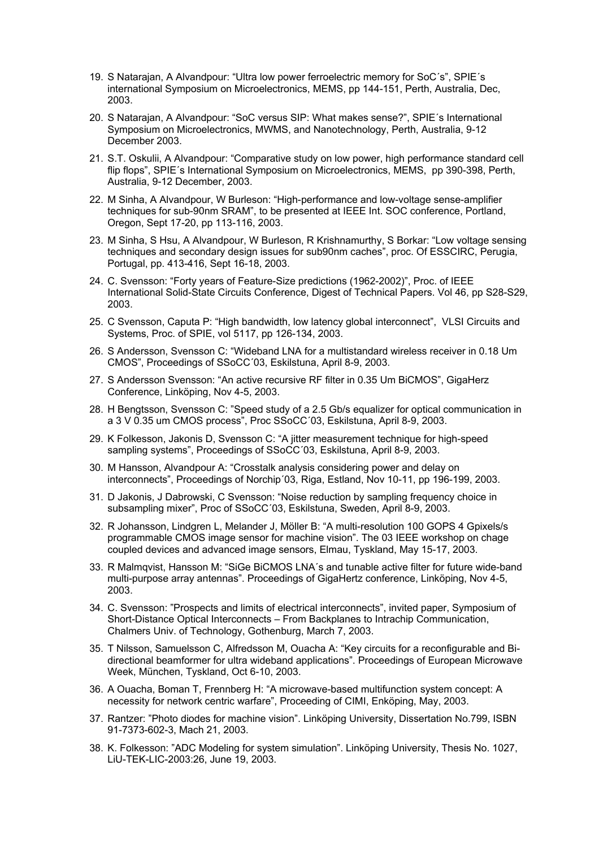- 19. S Natarajan, A Alvandpour: "Ultra low power ferroelectric memory for SoC´s", SPIE´s international Symposium on Microelectronics, MEMS, pp 144-151, Perth, Australia, Dec, 2003.
- 20. S Natarajan, A Alvandpour: "SoC versus SIP: What makes sense?", SPIE´s International Symposium on Microelectronics, MWMS, and Nanotechnology, Perth, Australia, 9-12 December 2003.
- 21. S.T. Oskulii, A Alvandpour: "Comparative study on low power, high performance standard cell flip flops", SPIE´s International Symposium on Microelectronics, MEMS, pp 390-398, Perth, Australia, 9-12 December, 2003.
- 22. M Sinha, A Alvandpour, W Burleson: "High-performance and low-voltage sense-amplifier techniques for sub-90nm SRAM", to be presented at IEEE Int. SOC conference, Portland, Oregon, Sept 17-20, pp 113-116, 2003.
- 23. M Sinha, S Hsu, A Alvandpour, W Burleson, R Krishnamurthy, S Borkar: "Low voltage sensing techniques and secondary design issues for sub90nm caches", proc. Of ESSCIRC, Perugia, Portugal, pp. 413-416, Sept 16-18, 2003.
- 24. C. Svensson: "Forty years of Feature-Size predictions (1962-2002)", Proc. of IEEE International Solid-State Circuits Conference, Digest of Technical Papers. Vol 46, pp S28-S29, 2003.
- 25. C Svensson, Caputa P: "High bandwidth, low latency global interconnect", VLSI Circuits and Systems, Proc. of SPIE, vol 5117, pp 126-134, 2003.
- 26. S Andersson, Svensson C: "Wideband LNA for a multistandard wireless receiver in 0.18 Um CMOS", Proceedings of SSoCC´03, Eskilstuna, April 8-9, 2003.
- 27. S Andersson Svensson: "An active recursive RF filter in 0.35 Um BiCMOS", GigaHerz Conference, Linköping, Nov 4-5, 2003.
- 28. H Bengtsson, Svensson C: "Speed study of a 2.5 Gb/s equalizer for optical communication in a 3 V 0.35 um CMOS process", Proc SSoCC´03, Eskilstuna, April 8-9, 2003.
- 29. K Folkesson, Jakonis D, Svensson C: "A jitter measurement technique for high-speed sampling systems", Proceedings of SSoCC´03, Eskilstuna, April 8-9, 2003.
- 30. M Hansson, Alvandpour A: "Crosstalk analysis considering power and delay on interconnects", Proceedings of Norchip´03, Riga, Estland, Nov 10-11, pp 196-199, 2003.
- 31. D Jakonis, J Dabrowski, C Svensson: "Noise reduction by sampling frequency choice in subsampling mixer", Proc of SSoCC´03, Eskilstuna, Sweden, April 8-9, 2003.
- 32. R Johansson, Lindgren L, Melander J, Möller B: "A multi-resolution 100 GOPS 4 Gpixels/s programmable CMOS image sensor for machine vision". The 03 IEEE workshop on chage coupled devices and advanced image sensors, Elmau, Tyskland, May 15-17, 2003.
- 33. R Malmqvist, Hansson M: "SiGe BiCMOS LNA´s and tunable active filter for future wide-band multi-purpose array antennas". Proceedings of GigaHertz conference, Linköping, Nov 4-5, 2003.
- 34. C. Svensson: "Prospects and limits of electrical interconnects", invited paper, Symposium of Short-Distance Optical Interconnects – From Backplanes to Intrachip Communication, Chalmers Univ. of Technology, Gothenburg, March 7, 2003.
- 35. T Nilsson, Samuelsson C, Alfredsson M, Ouacha A: "Key circuits for a reconfigurable and Bidirectional beamformer for ultra wideband applications". Proceedings of European Microwave Week, München, Tyskland, Oct 6-10, 2003.
- 36. A Ouacha, Boman T, Frennberg H: "A microwave-based multifunction system concept: A necessity for network centric warfare", Proceeding of CIMI, Enköping, May, 2003.
- 37. Rantzer: "Photo diodes for machine vision". Linköping University, Dissertation No.799, ISBN 91-7373-602-3, Mach 21, 2003.
- 38. K. Folkesson: "ADC Modeling for system simulation". Linköping University, Thesis No. 1027, LiU-TEK-LIC-2003:26, June 19, 2003.